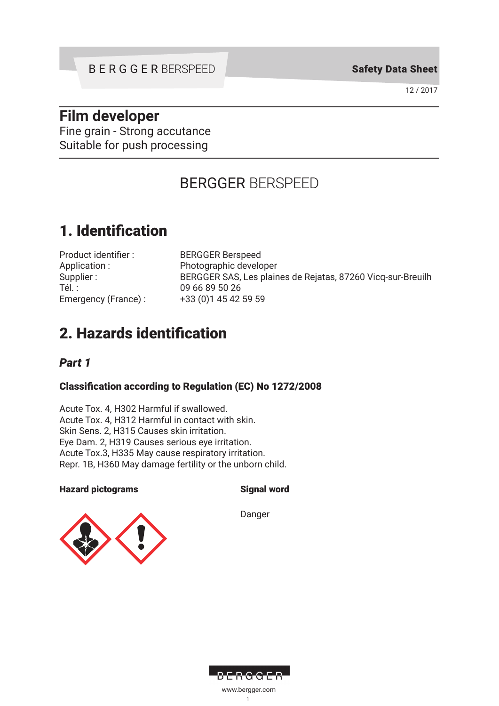Safety Data Sheet

12 / 2017

# **Film developer**

Fine grain - Strong accutance Suitable for push processing

# BERGGER BERSPEED

# 1. Identification

| Product identifier: |
|---------------------|
| Application:        |
| Supplier:           |
| Tél. :              |
| Emergency (France): |

**BERGGER Berspeed** Photographic developer BERGGER SAS, Les plaines de Rejatas, 87260 Vicq-sur-Breuilh 09 66 89 50 26 +33 (0)1 45 42 59 59

# 2. Hazards identification

# *Part 1*

# Classification according to Regulation (EC) No 1272/2008

Acute Tox. 4, H302 Harmful if swallowed. Acute Tox. 4, H312 Harmful in contact with skin. Skin Sens. 2, H315 Causes skin irritation. Eye Dam. 2, H319 Causes serious eye irritation. Acute Tox.3, H335 May cause respiratory irritation. Repr. 1B, H360 May damage fertility or the unborn child.

## Hazard pictograms Signal word

Danger



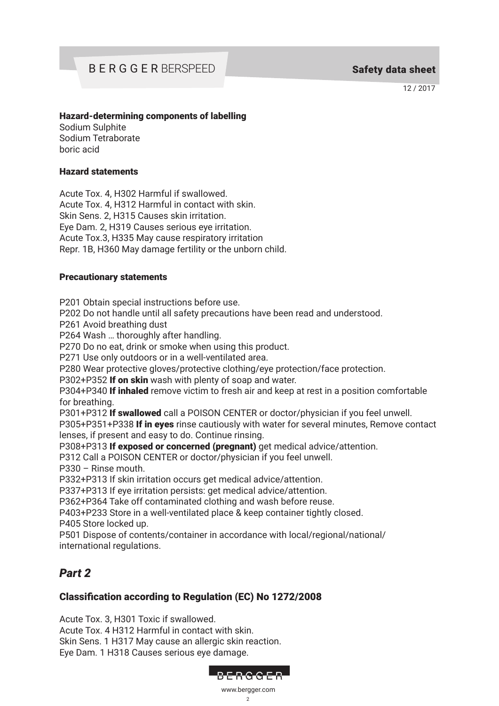12 / 2017

#### Hazard-determining components of labelling

Sodium Sulphite Sodium Tetraborate boric acid

#### Hazard statements

Acute Tox. 4, H302 Harmful if swallowed. Acute Tox. 4, H312 Harmful in contact with skin. Skin Sens. 2, H315 Causes skin irritation. Eye Dam. 2, H319 Causes serious eye irritation. Acute Tox.3, H335 May cause respiratory irritation Repr. 1B, H360 May damage fertility or the unborn child.

#### Precautionary statements

P201 Obtain special instructions before use.

P202 Do not handle until all safety precautions have been read and understood.

P261 Avoid breathing dust

P264 Wash … thoroughly after handling.

P270 Do no eat, drink or smoke when using this product.

P271 Use only outdoors or in a well-ventilated area.

P280 Wear protective gloves/protective clothing/eye protection/face protection.

P302+P352 If on skin wash with plenty of soap and water.

P304+P340 If inhaled remove victim to fresh air and keep at rest in a position comfortable for breathing.

P301+P312 If swallowed call a POISON CENTER or doctor/physician if you feel unwell.

P305+P351+P338 If in eyes rinse cautiously with water for several minutes, Remove contact lenses, if present and easy to do. Continue rinsing.

P308+P313 If exposed or concerned (pregnant) get medical advice/attention.

P312 Call a POISON CENTER or doctor/physician if you feel unwell.

P330 – Rinse mouth.

P332+P313 If skin irritation occurs get medical advice/attention.

P337+P313 If eye irritation persists: get medical advice/attention.

P362+P364 Take off contaminated clothing and wash before reuse.

P403+P233 Store in a well-ventilated place & keep container tightly closed. P405 Store locked up.

P501 Dispose of contents/container in accordance with local/regional/national/ international regulations.

# *Part 2*

## Classification according to Regulation (EC) No 1272/2008

Acute Tox. 3, H301 Toxic if swallowed. Acute Tox. 4 H312 Harmful in contact with skin. Skin Sens. 1 H317 May cause an allergic skin reaction. Eye Dam. 1 H318 Causes serious eye damage.

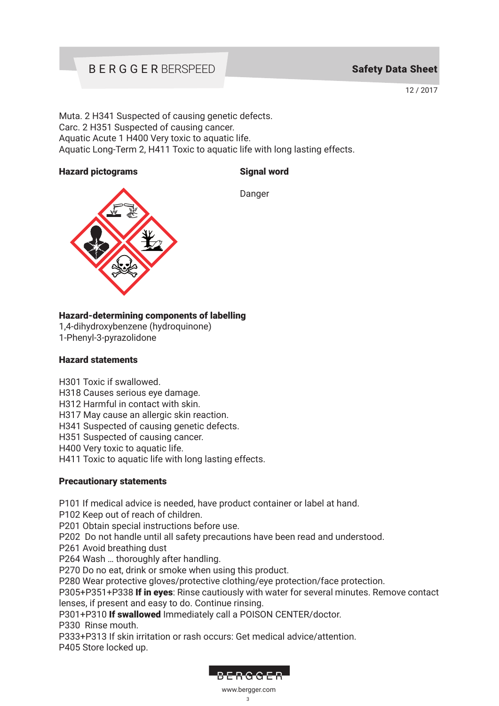# BERGGER BERSPEED

# Safety Data Sheet

12 / 2017

Muta. 2 H341 Suspected of causing genetic defects. Carc. 2 H351 Suspected of causing cancer. Aquatic Acute 1 H400 Very toxic to aquatic life. Aquatic Long-Term 2, H411 Toxic to aquatic life with long lasting effects.

#### Hazard pictograms Signal word



Danger

### Hazard-determining components of labelling

1,4-dihydroxybenzene (hydroquinone) 1-Phenyl-3-pyrazolidone

#### Hazard statements

H301 Toxic if swallowed.

H318 Causes serious eye damage.

H312 Harmful in contact with skin.

H317 May cause an allergic skin reaction.

H341 Suspected of causing genetic defects.

H351 Suspected of causing cancer.

H400 Very toxic to aquatic life.

H411 Toxic to aquatic life with long lasting effects.

#### Precautionary statements

P101 If medical advice is needed, have product container or label at hand.

P102 Keep out of reach of children.

P201 Obtain special instructions before use.

P202 Do not handle until all safety precautions have been read and understood.

P261 Avoid breathing dust

P264 Wash … thoroughly after handling.

P270 Do no eat, drink or smoke when using this product.

P280 Wear protective gloves/protective clothing/eye protection/face protection.

P305+P351+P338 If in eyes: Rinse cautiously with water for several minutes. Remove contact lenses, if present and easy to do. Continue rinsing.

P301+P310 If swallowed Immediately call a POISON CENTER/doctor.

P330 Rinse mouth.

P333+P313 If skin irritation or rash occurs: Get medical advice/attention. P405 Store locked up.

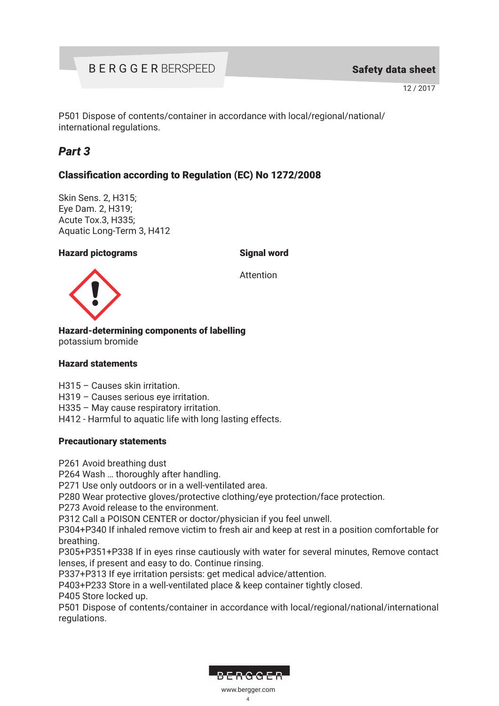P501 Dispose of contents/container in accordance with local/regional/national/ international regulations.

# *Part 3*

# Classification according to Regulation (EC) No 1272/2008

Skin Sens. 2, H315; Eye Dam. 2, H319; Acute Tox.3, H335; Aquatic Long-Term 3, H412

#### Hazard pictograms Signal word

Attention



Hazard-determining components of labelling

potassium bromide

#### Hazard statements

- H315 Causes skin irritation.
- H319 Causes serious eye irritation.

H335 – May cause respiratory irritation.

H412 - Harmful to aquatic life with long lasting effects.

#### Precautionary statements

P261 Avoid breathing dust

P264 Wash … thoroughly after handling.

P271 Use only outdoors or in a well-ventilated area.

P280 Wear protective gloves/protective clothing/eye protection/face protection.

P273 Avoid release to the environment.

P312 Call a POISON CENTER or doctor/physician if you feel unwell.

P304+P340 If inhaled remove victim to fresh air and keep at rest in a position comfortable for breathing.

P305+P351+P338 If in eyes rinse cautiously with water for several minutes, Remove contact lenses, if present and easy to do. Continue rinsing.

P337+P313 If eye irritation persists: get medical advice/attention.

P403+P233 Store in a well-ventilated place & keep container tightly closed.

P405 Store locked up.

P501 Dispose of contents/container in accordance with local/regional/national/international regulations.

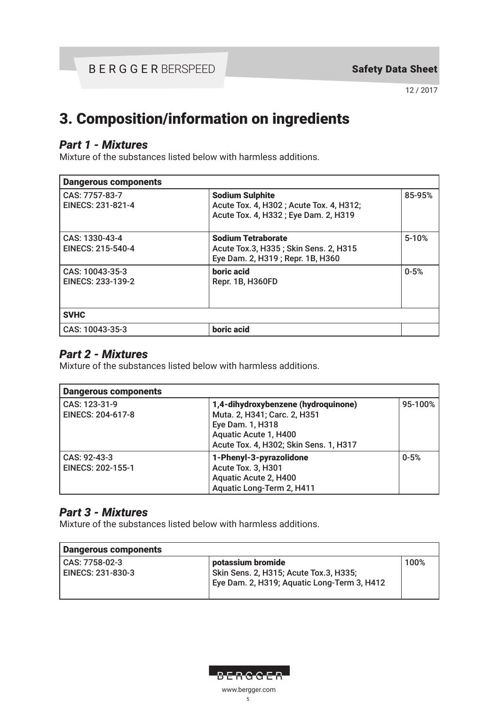# 3. Composition/information on ingredients

# *Part 1 - Mixtures*

Mixture of the substances listed below with harmless additions.

| <b>Dangerous components</b>          |                                                                                                           |           |
|--------------------------------------|-----------------------------------------------------------------------------------------------------------|-----------|
| CAS: 7757-83-7<br>EINECS: 231-821-4  | <b>Sodium Sulphite</b><br>Acute Tox. 4, H302; Acute Tox. 4, H312;<br>Acute Tox. 4, H332; Eye Dam. 2, H319 | 85-95%    |
| CAS: 1330-43-4<br>EINECS: 215-540-4  | <b>Sodium Tetraborate</b><br>Acute Tox.3, H335 ; Skin Sens. 2, H315<br>Eye Dam. 2, H319; Repr. 1B, H360   | $5 - 10%$ |
| CAS: 10043-35-3<br>EINECS: 233-139-2 | boric acid<br>Repr. 1B, H360FD                                                                            | $0 - 5%$  |
| <b>SVHC</b>                          |                                                                                                           |           |
| CAS: 10043-35-3                      | boric acid                                                                                                |           |

# *Part 2 - Mixtures*

Mixture of the substances listed below with harmless additions.

| <b>Dangerous components</b>               |                                                                                                                                                            |          |
|-------------------------------------------|------------------------------------------------------------------------------------------------------------------------------------------------------------|----------|
| CAS: 123-31-9<br><b>EINECS: 204-617-8</b> | 1,4-dihydroxybenzene (hydroquinone)<br>Muta. 2, H341; Carc. 2, H351<br>Eye Dam. 1, H318<br>Aquatic Acute 1, H400<br>Acute Tox. 4, H302; Skin Sens. 1, H317 | 95-100%  |
| CAS: 92-43-3<br><b>EINECS: 202-155-1</b>  | 1-Phenyl-3-pyrazolidone<br>Acute Tox. 3, H301<br>Aquatic Acute 2, H400<br>Aquatic Long-Term 2, H411                                                        | $0 - 5%$ |

# *Part 3 - Mixtures*

Mixture of the substances listed below with harmless additions.

| <b>Dangerous components</b>         |                                                                                                            |      |
|-------------------------------------|------------------------------------------------------------------------------------------------------------|------|
| CAS: 7758-02-3<br>EINECS: 231-830-3 | potassium bromide<br>Skin Sens. 2, H315; Acute Tox.3, H335;<br>Eye Dam. 2, H319; Aquatic Long-Term 3, H412 | 100% |

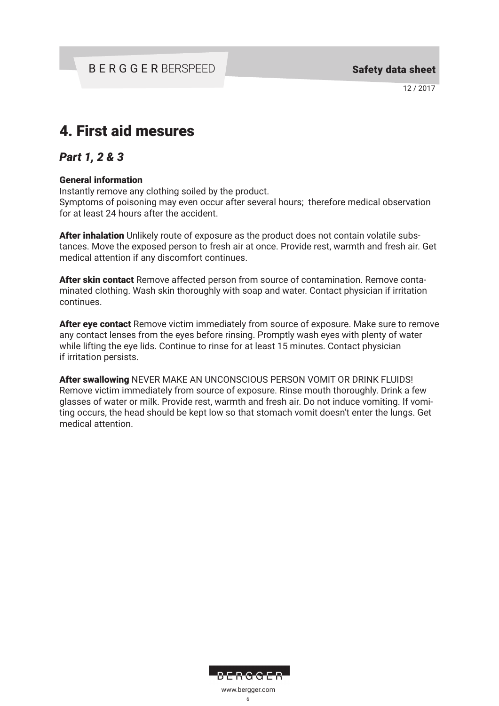# 4. First aid mesures

# *Part 1, 2 & 3*

#### General information

Instantly remove any clothing soiled by the product.

Symptoms of poisoning may even occur after several hours; therefore medical observation for at least 24 hours after the accident.

After inhalation Unlikely route of exposure as the product does not contain volatile substances. Move the exposed person to fresh air at once. Provide rest, warmth and fresh air. Get medical attention if any discomfort continues.

After skin contact Remove affected person from source of contamination. Remove contaminated clothing. Wash skin thoroughly with soap and water. Contact physician if irritation continues.

After eye contact Remove victim immediately from source of exposure. Make sure to remove any contact lenses from the eyes before rinsing. Promptly wash eyes with plenty of water while lifting the eye lids. Continue to rinse for at least 15 minutes. Contact physician if irritation persists.

After swallowing NEVER MAKE AN UNCONSCIOUS PERSON VOMIT OR DRINK FLUIDS! Remove victim immediately from source of exposure. Rinse mouth thoroughly. Drink a few glasses of water or milk. Provide rest, warmth and fresh air. Do not induce vomiting. If vomiting occurs, the head should be kept low so that stomach vomit doesn't enter the lungs. Get medical attention.

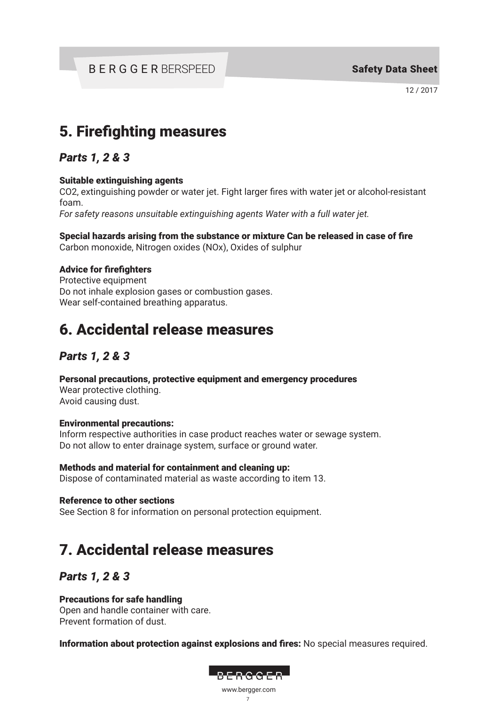# 5. Firefighting measures

*Parts 1, 2 & 3*

## Suitable extinguishing agents

CO2, extinguishing powder or water jet. Fight larger fires with water jet or alcohol-resistant foam.

*For safety reasons unsuitable extinguishing agents Water with a full water jet.*

Special hazards arising from the substance or mixture Can be released in case of fire Carbon monoxide, Nitrogen oxides (NOx), Oxides of sulphur

## Advice for firefighters

Protective equipment Do not inhale explosion gases or combustion gases. Wear self-contained breathing apparatus.

# 6. Accidental release measures

# *Parts 1, 2 & 3*

Personal precautions, protective equipment and emergency procedures

Wear protective clothing. Avoid causing dust.

## Environmental precautions:

Inform respective authorities in case product reaches water or sewage system. Do not allow to enter drainage system, surface or ground water.

Methods and material for containment and cleaning up: Dispose of contaminated material as waste according to item 13.

Reference to other sections

See Section 8 for information on personal protection equipment.

# 7. Accidental release measures

# *Parts 1, 2 & 3*

# Precautions for safe handling

Open and handle container with care. Prevent formation of dust.

Information about protection against explosions and fires: No special measures required.

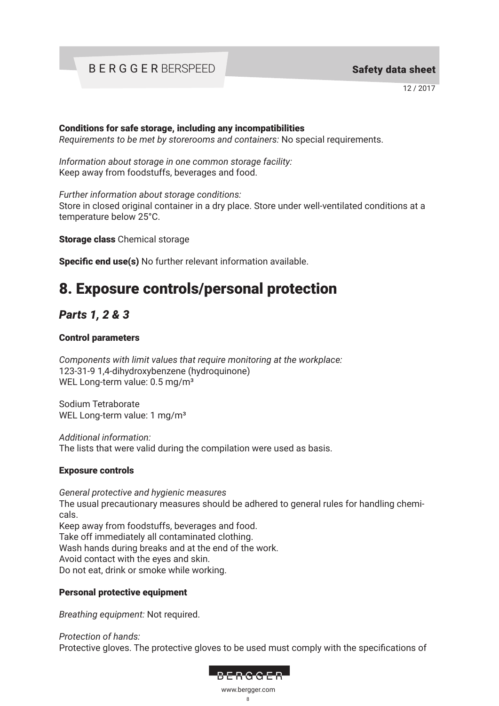12 / 2017

#### Conditions for safe storage, including any incompatibilities

*Requirements to be met by storerooms and containers:* No special requirements.

*Information about storage in one common storage facility:* Keep away from foodstuffs, beverages and food.

*Further information about storage conditions:*

Store in closed original container in a dry place. Store under well-ventilated conditions at a temperature below 25°C.

Storage class Chemical storage

Specific end use(s) No further relevant information available.

# 8. Exposure controls/personal protection

# *Parts 1, 2 & 3*

### Control parameters

*Components with limit values that require monitoring at the workplace:* 123-31-9 1,4-dihydroxybenzene (hydroquinone) WEL Long-term value: 0.5 mg/m<sup>3</sup>

Sodium Tetraborate WEL Long-term value: 1 mg/m<sup>3</sup>

*Additional information:*  The lists that were valid during the compilation were used as basis.

## Exposure controls

*General protective and hygienic measures* The usual precautionary measures should be adhered to general rules for handling chemicals. Keep away from foodstuffs, beverages and food. Take off immediately all contaminated clothing. Wash hands during breaks and at the end of the work. Avoid contact with the eyes and skin. Do not eat, drink or smoke while working.

## Personal protective equipment

*Breathing equipment:* Not required.

*Protection of hands:* Protective gloves. The protective gloves to be used must comply with the specifications of

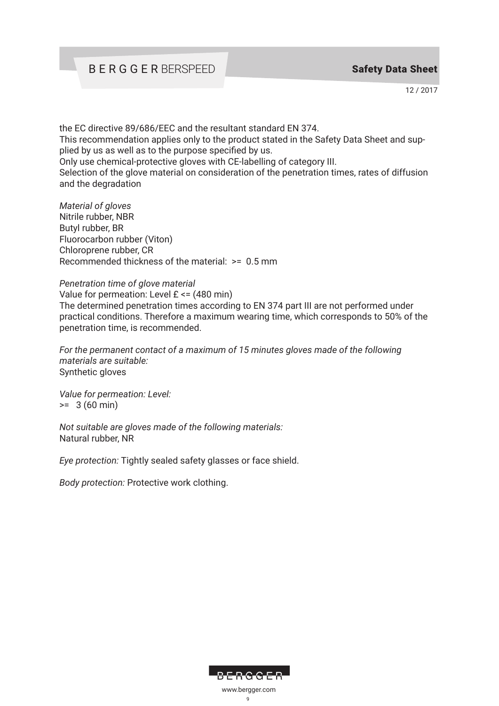# BERGGER BERSPEED

12 / 2017

the EC directive 89/686/EEC and the resultant standard EN 374. This recommendation applies only to the product stated in the Safety Data Sheet and supplied by us as well as to the purpose specified by us. Only use chemical-protective gloves with CE-labelling of category III. Selection of the glove material on consideration of the penetration times, rates of diffusion and the degradation

*Material of gloves* Nitrile rubber, NBR Butyl rubber, BR Fluorocarbon rubber (Viton) Chloroprene rubber, CR Recommended thickness of the material: >= 0.5 mm

#### *Penetration time of glove material*

Value for permeation: Level  $E \le (480 \text{ min})$ The determined penetration times according to EN 374 part III are not performed under practical conditions. Therefore a maximum wearing time, which corresponds to 50% of the penetration time, is recommended.

*For the permanent contact of a maximum of 15 minutes gloves made of the following materials are suitable:* Synthetic gloves

*Value for permeation: Level:*  $>= 3 (60 min)$ 

*Not suitable are gloves made of the following materials:*  Natural rubber, NR

*Eye protection:* Tightly sealed safety glasses or face shield.

*Body protection:* Protective work clothing.

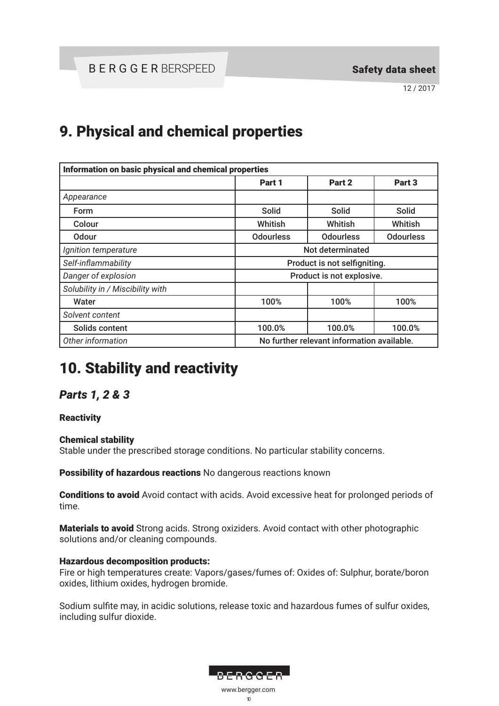# 9. Physical and chemical properties

| Information on basic physical and chemical properties |                  |                                            |                  |
|-------------------------------------------------------|------------------|--------------------------------------------|------------------|
|                                                       | Part 1           | Part 2                                     | Part 3           |
| Appearance                                            |                  |                                            |                  |
| Form                                                  | Solid            | Solid                                      | <b>Solid</b>     |
| Colour                                                | Whitish          | Whitish                                    | Whitish          |
| <b>Odour</b>                                          | <b>Odourless</b> | <b>Odourless</b>                           | <b>Odourless</b> |
| Ignition temperature                                  |                  | Not determinated                           |                  |
| Self-inflammability                                   |                  | Product is not selfigniting.               |                  |
| Danger of explosion                                   |                  | Product is not explosive.                  |                  |
| Solubility in / Miscibility with                      |                  |                                            |                  |
| Water                                                 | 100%             | 100%                                       | 100%             |
| Solvent content                                       |                  |                                            |                  |
| Solids content                                        | 100.0%           | 100.0%                                     | 100.0%           |
| Other information                                     |                  | No further relevant information available. |                  |

# 10. Stability and reactivity

# *Parts 1, 2 & 3*

## **Reactivity**

## Chemical stability

Stable under the prescribed storage conditions. No particular stability concerns.

Possibility of hazardous reactions No dangerous reactions known

**Conditions to avoid** Avoid contact with acids. Avoid excessive heat for prolonged periods of time.

Materials to avoid Strong acids. Strong oxiziders. Avoid contact with other photographic solutions and/or cleaning compounds.

## Hazardous decomposition products:

Fire or high temperatures create: Vapors/gases/fumes of: Oxides of: Sulphur, borate/boron oxides, lithium oxides, hydrogen bromide.

Sodium sulfite may, in acidic solutions, release toxic and hazardous fumes of sulfur oxides, including sulfur dioxide.

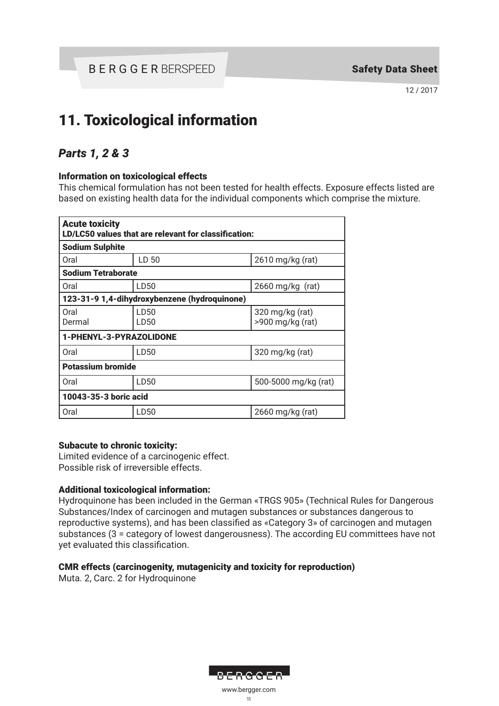# 11. Toxicological information

# *Parts 1, 2 & 3*

### Information on toxicological effects

This chemical formulation has not been tested for health effects. Exposure effects listed are based on existing health data for the individual components which comprise the mixture.

| <b>Acute toxicity</b><br>LD/LC50 values that are relevant for classification: |              |                                     |  |
|-------------------------------------------------------------------------------|--------------|-------------------------------------|--|
| <b>Sodium Sulphite</b>                                                        |              |                                     |  |
| Oral                                                                          | LD 50        | 2610 mg/kg (rat)                    |  |
| <b>Sodium Tetraborate</b>                                                     |              |                                     |  |
| Oral                                                                          | LD50         | $2660$ mg/kg (rat)                  |  |
| 123-31-9 1,4-dihydroxybenzene (hydroquinone)                                  |              |                                     |  |
| Oral<br>Dermal                                                                | LD50<br>LD50 | 320 mg/kg (rat)<br>>900 mg/kg (rat) |  |
| 1-PHENYL-3-PYRAZOLIDONE                                                       |              |                                     |  |
| Oral                                                                          | LD50         | $320 \,\mathrm{mg/kg}$ (rat)        |  |
| <b>Potassium bromide</b>                                                      |              |                                     |  |
| Oral                                                                          | LD50         | 500-5000 mg/kg (rat)                |  |
| 10043-35-3 boric acid                                                         |              |                                     |  |
| Oral                                                                          | LD50         | $2660$ mg/kg (rat)                  |  |

#### Subacute to chronic toxicity:

Limited evidence of a carcinogenic effect. Possible risk of irreversible effects.

## Additional toxicological information:

Hydroquinone has been included in the German «TRGS 905» (Technical Rules for Dangerous Substances/Index of carcinogen and mutagen substances or substances dangerous to reproductive systems), and has been classified as «Category 3» of carcinogen and mutagen substances (3 = category of lowest dangerousness). The according EU committees have not yet evaluated this classification.

## CMR effects (carcinogenity, mutagenicity and toxicity for reproduction)

Muta. 2, Carc. 2 for Hydroquinone

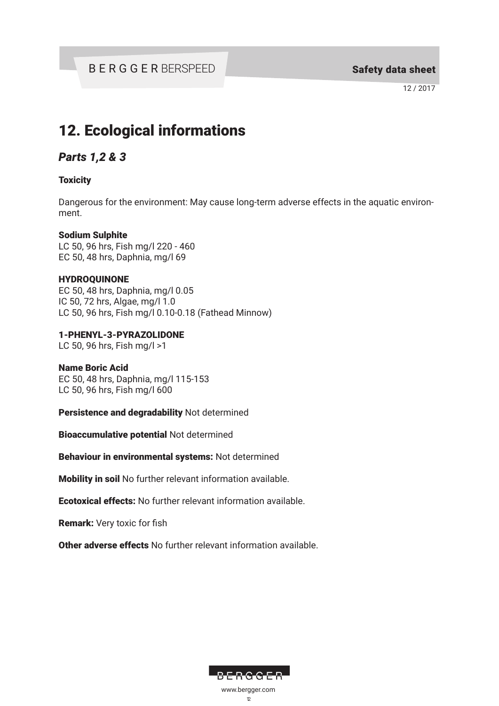# 12. Ecological informations

# *Parts 1,2 & 3*

## **Toxicity**

Dangerous for the environment: May cause long-term adverse effects in the aquatic environment.

### Sodium Sulphite

LC 50, 96 hrs, Fish mg/l 220 - 460 EC 50, 48 hrs, Daphnia, mg/l 69

### HYDROQUINONE

EC 50, 48 hrs, Daphnia, mg/l 0.05 IC 50, 72 hrs, Algae, mg/l 1.0 LC 50, 96 hrs, Fish mg/l 0.10-0.18 (Fathead Minnow)

1-PHENYL-3-PYRAZOLIDONE

LC 50, 96 hrs, Fish mg/l >1

#### Name Boric Acid

EC 50, 48 hrs, Daphnia, mg/l 115-153 LC 50, 96 hrs, Fish mg/l 600

Persistence and degradability Not determined

Bioaccumulative potential Not determined

Behaviour in environmental systems: Not determined

Mobility in soil No further relevant information available.

Ecotoxical effects: No further relevant information available.

Remark: Very toxic for fish

Other adverse effects No further relevant information available.

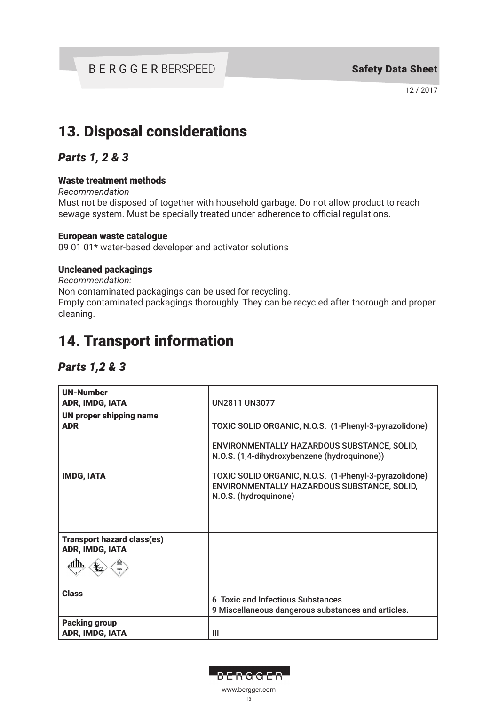# 13. Disposal considerations

# *Parts 1, 2 & 3*

### Waste treatment methods

*Recommendation*

Must not be disposed of together with household garbage. Do not allow product to reach sewage system. Must be specially treated under adherence to official regulations.

#### European waste catalogue

09 01 01\* water-based developer and activator solutions

### Uncleaned packagings

*Recommendation:* Non contaminated packagings can be used for recycling. Empty contaminated packagings thoroughly. They can be recycled after thorough and proper cleaning.

# 14. Transport information

# *Parts 1,2 & 3*

| <b>UN-Number</b><br>ADR, IMDG, IATA                  | <b>UN2811 UN3077</b>                                                                                                          |
|------------------------------------------------------|-------------------------------------------------------------------------------------------------------------------------------|
| <b>UN proper shipping name</b>                       |                                                                                                                               |
| <b>ADR</b>                                           | TOXIC SOLID ORGANIC, N.O.S. (1-Phenyl-3-pyrazolidone)                                                                         |
|                                                      | ENVIRONMENTALLY HAZARDOUS SUBSTANCE, SOLID,<br>N.O.S. (1,4-dihydroxybenzene (hydroquinone))                                   |
| <b>IMDG, IATA</b>                                    | TOXIC SOLID ORGANIC, N.O.S. (1-Phenyl-3-pyrazolidone)<br>ENVIRONMENTALLY HAZARDOUS SUBSTANCE, SOLID,<br>N.O.S. (hydroquinone) |
|                                                      |                                                                                                                               |
| <b>Transport hazard class(es)</b><br>ADR, IMDG, IATA |                                                                                                                               |
|                                                      |                                                                                                                               |
| <b>Class</b>                                         | 6 Toxic and Infectious Substances<br>9 Miscellaneous dangerous substances and articles.                                       |
| <b>Packing group</b><br>ADR, IMDG, IATA              | Ш                                                                                                                             |

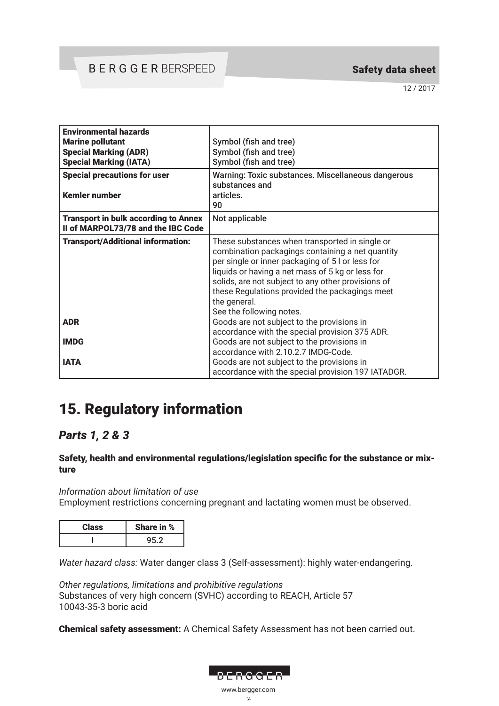12 / 2017

| <b>Environmental hazards</b><br><b>Marine pollutant</b><br><b>Special Marking (ADR)</b><br><b>Special Marking (IATA)</b><br><b>Special precautions for user</b> | Symbol (fish and tree)<br>Symbol (fish and tree)<br>Symbol (fish and tree)<br>Warning: Toxic substances. Miscellaneous dangerous                                                                                                                                                                                                                               |  |
|-----------------------------------------------------------------------------------------------------------------------------------------------------------------|----------------------------------------------------------------------------------------------------------------------------------------------------------------------------------------------------------------------------------------------------------------------------------------------------------------------------------------------------------------|--|
| <b>Kemler number</b>                                                                                                                                            | substances and<br>articles.<br>90                                                                                                                                                                                                                                                                                                                              |  |
| <b>Transport in bulk according to Annex</b><br>II of MARPOL73/78 and the IBC Code                                                                               | Not applicable                                                                                                                                                                                                                                                                                                                                                 |  |
| <b>Transport/Additional information:</b>                                                                                                                        | These substances when transported in single or<br>combination packagings containing a net quantity<br>per single or inner packaging of 5 l or less for<br>liquids or having a net mass of 5 kg or less for<br>solids, are not subject to any other provisions of<br>these Regulations provided the packagings meet<br>the general.<br>See the following notes. |  |
| <b>ADR</b>                                                                                                                                                      | Goods are not subject to the provisions in<br>accordance with the special provision 375 ADR.                                                                                                                                                                                                                                                                   |  |
| <b>IMDG</b>                                                                                                                                                     | Goods are not subject to the provisions in<br>accordance with 2.10.2.7 IMDG-Code.                                                                                                                                                                                                                                                                              |  |
| <b>IATA</b>                                                                                                                                                     | Goods are not subject to the provisions in<br>accordance with the special provision 197 IATADGR.                                                                                                                                                                                                                                                               |  |

# 15. Regulatory information

# *Parts 1, 2 & 3*

### Safety, health and environmental regulations/legislation specific for the substance or mixture

*Information about limitation of use* Employment restrictions concerning pregnant and lactating women must be observed.

| -aSS | hare in % |
|------|-----------|
|      |           |

*Water hazard class:* Water danger class 3 (Self-assessment): highly water-endangering.

*Other regulations, limitations and prohibitive regulations* Substances of very high concern (SVHC) according to REACH, Article 57 10043-35-3 boric acid

Chemical safety assessment: A Chemical Safety Assessment has not been carried out.